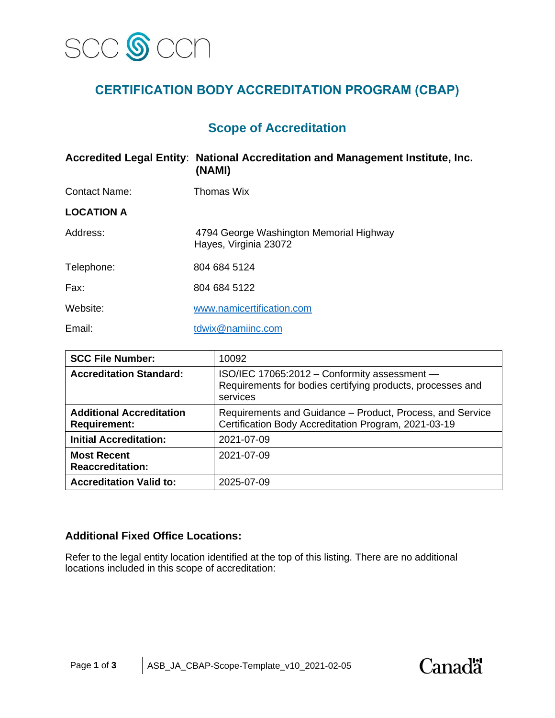

# **CERTIFICATION BODY ACCREDITATION PROGRAM (CBAP)**

# **Scope of Accreditation**

|                      | Accredited Legal Entity: National Accreditation and Management Institute, Inc.<br>(NAMI) |
|----------------------|------------------------------------------------------------------------------------------|
| <b>Contact Name:</b> | Thomas Wix                                                                               |
| <b>LOCATION A</b>    |                                                                                          |
| Address:             | 4794 George Washington Memorial Highway<br>Hayes, Virginia 23072                         |
| Telephone:           | 804 684 5124                                                                             |
| Fax:                 | 804 684 5122                                                                             |
| Website:             | www.namicertification.com                                                                |
| Email:               | tdwix@namiinc.com                                                                        |

| <b>SCC File Number:</b>                                | 10092                                                                                                                  |  |
|--------------------------------------------------------|------------------------------------------------------------------------------------------------------------------------|--|
| <b>Accreditation Standard:</b>                         | ISO/IEC 17065:2012 - Conformity assessment -<br>Requirements for bodies certifying products, processes and<br>services |  |
| <b>Additional Accreditation</b><br><b>Requirement:</b> | Requirements and Guidance – Product, Process, and Service<br>Certification Body Accreditation Program, 2021-03-19      |  |
| <b>Initial Accreditation:</b>                          | 2021-07-09                                                                                                             |  |
| <b>Most Recent</b><br><b>Reaccreditation:</b>          | 2021-07-09                                                                                                             |  |
| <b>Accreditation Valid to:</b>                         | 2025-07-09                                                                                                             |  |

### **Additional Fixed Office Locations:**

Refer to the legal entity location identified at the top of this listing. There are no additional locations included in this scope of accreditation:

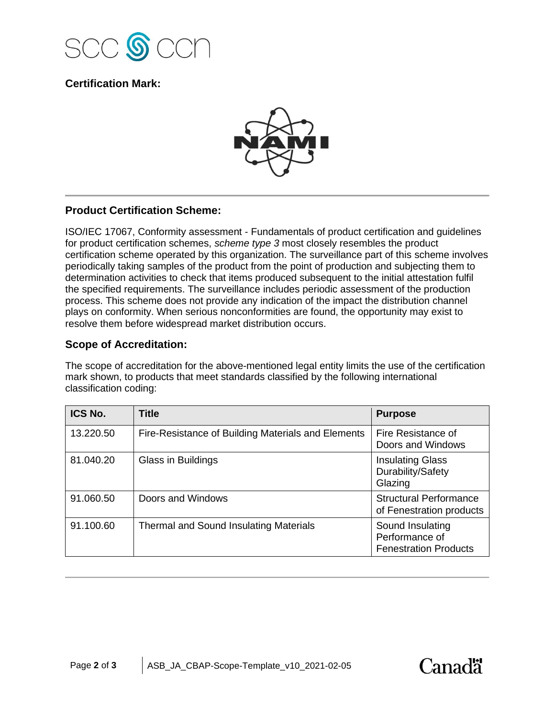

## **Certification Mark:**



#### **Product Certification Scheme:**

ISO/IEC 17067, Conformity assessment - Fundamentals of product certification and guidelines for product certification schemes, *scheme type 3* most closely resembles the product certification scheme operated by this organization. The surveillance part of this scheme involves periodically taking samples of the product from the point of production and subjecting them to determination activities to check that items produced subsequent to the initial attestation fulfil the specified requirements. The surveillance includes periodic assessment of the production process. This scheme does not provide any indication of the impact the distribution channel plays on conformity. When serious nonconformities are found, the opportunity may exist to resolve them before widespread market distribution occurs.

#### **Scope of Accreditation:**

The scope of accreditation for the above-mentioned legal entity limits the use of the certification mark shown, to products that meet standards classified by the following international classification coding:

| ICS No.   | <b>Title</b>                                       | <b>Purpose</b>                                                     |
|-----------|----------------------------------------------------|--------------------------------------------------------------------|
| 13.220.50 | Fire-Resistance of Building Materials and Elements | Fire Resistance of<br>Doors and Windows                            |
| 81.040.20 | Glass in Buildings                                 | <b>Insulating Glass</b><br>Durability/Safety<br>Glazing            |
| 91.060.50 | Doors and Windows                                  | <b>Structural Performance</b><br>of Fenestration products          |
| 91.100.60 | Thermal and Sound Insulating Materials             | Sound Insulating<br>Performance of<br><b>Fenestration Products</b> |

Canadä<sup>r</sup>